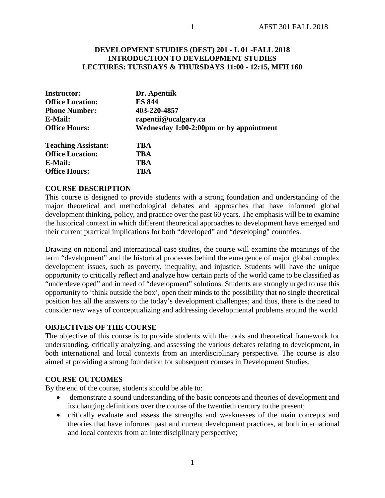### **DEVELOPMENT STUDIES (DEST) 201 - L 01 -FALL 2018 INTRODUCTION TO DEVELOPMENT STUDIES LECTURES: TUESDAYS & THURSDAYS 11:00 - 12:15, MFH 160**

| <b>Instructor:</b>         | Dr. Apentiik<br><b>ES 844</b>           |  |  |
|----------------------------|-----------------------------------------|--|--|
| <b>Office Location:</b>    |                                         |  |  |
| <b>Phone Number:</b>       | 403-220-4857                            |  |  |
| E-Mail:                    | rapentii@ucalgary.ca                    |  |  |
| <b>Office Hours:</b>       | Wednesday 1:00-2:00pm or by appointment |  |  |
| <b>Teaching Assistant:</b> | TBA                                     |  |  |
| <b>Office Location:</b>    | <b>TBA</b>                              |  |  |
| E-Mail:                    | TBA                                     |  |  |
| <b>Office Hours:</b>       | TBA                                     |  |  |

#### **COURSE DESCRIPTION**

This course is designed to provide students with a strong foundation and understanding of the major theoretical and methodological debates and approaches that have informed global development thinking, policy, and practice over the past 60 years. The emphasis will be to examine the historical context in which different theoretical approaches to development have emerged and their current practical implications for both "developed" and "developing" countries.

Drawing on national and international case studies, the course will examine the meanings of the term "development" and the historical processes behind the emergence of major global complex development issues, such as poverty, inequality, and injustice. Students will have the unique opportunity to critically reflect and analyze how certain parts of the world came to be classified as "underdeveloped" and in need of "development" solutions. Students are strongly urged to use this opportunity to 'think outside the box', open their minds to the possibility that no single theoretical position has all the answers to the today's development challenges; and thus, there is the need to consider new ways of conceptualizing and addressing developmental problems around the world.

#### **OBJECTIVES OF THE COURSE**

The objective of this course is to provide students with the tools and theoretical framework for understanding, critically analyzing, and assessing the various debates relating to development, in both international and local contexts from an interdisciplinary perspective. The course is also aimed at providing a strong foundation for subsequent courses in Development Studies.

#### **COURSE OUTCOMES**

By the end of the course, students should be able to:

- demonstrate a sound understanding of the basic concepts and theories of development and its changing definitions over the course of the twentieth century to the present;
- critically evaluate and assess the strengths and weaknesses of the main concepts and theories that have informed past and current development practices, at both international and local contexts from an interdisciplinary perspective;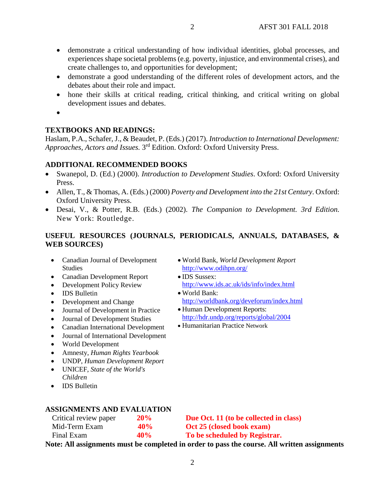• demonstrate a critical understanding of how individual identities, global processes, and experiences shape societal problems (e.g. poverty, injustice, and environmental crises), and create challenges to, and opportunities for development;

2

- demonstrate a good understanding of the different roles of development actors, and the debates about their role and impact.
- hone their skills at critical reading, critical thinking, and critical writing on global development issues and debates.
- •

# **TEXTBOOKS AND READINGS:**

Haslam, P.A., Schafer, J., & Beaudet, P. (Eds.) (2017). *Introduction to International Development: Approaches, Actors and Issues.* 3rd Edition. Oxford: Oxford University Press.

### **ADDITIONAL RECOMMENDED BOOKS**

- Swanepol, D. (Ed.) (2000). *Introduction to Development Studies*. Oxford: Oxford University Press.
- Allen, T., & Thomas, A. (Eds.) (2000) *Poverty and Development into the 21st Century*. Oxford: Oxford University Press.
- Desai, V., & Potter, R.B. (Eds.) (2002). *The Companion to Development. 3rd Edition.*  New York: Routledge.

# **USEFUL RESOURCES (JOURNALS, PERIODICALS, ANNUALS, DATABASES, & WEB SOURCES)**

• IDS Sussex:

• World Bank:

• World Bank, *World Development Report* 

<http://www.ids.ac.uk/ids/info/index.html>

<http://hdr.undp.org/reports/global/2004>

<http://worldbank.org/deveforum/index.html>

<http://www.odihpn.org/>

• Human Development Reports:

• Humanitarian Practice Network

- Canadian Journal of Development **Studies**
- Canadian Development Report
- Development Policy Review
- IDS Bulletin
- Development and Change
- Journal of Development in Practice
- Journal of Development Studies
- Canadian International Development
- Journal of International Development
- World Development
- Amnesty, *Human Rights Yearbook*
- UNDP, *Human Development Report*
- UNICEF, *State of the World's Children*
- IDS Bulletin

#### **ASSIGNMENTS AND EVALUATION**

| Critical review paper | 20% | Due Oct. 11 (to be collected in class) |
|-----------------------|-----|----------------------------------------|
| Mid-Term Exam         | 40% | Oct 25 (closed book exam)              |
| Final Exam            | 40% | To be scheduled by Registrar.          |

**Note: All assignments must be completed in order to pass the course. All written assignments**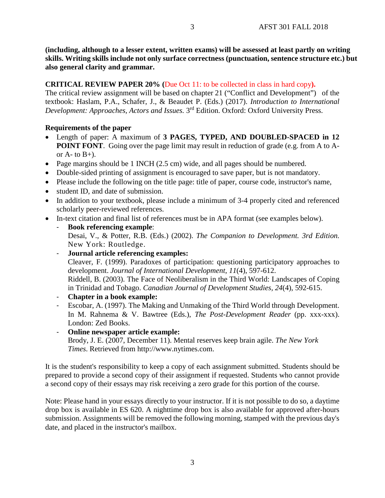**(including, although to a lesser extent, written exams) will be assessed at least partly on writing skills. Writing skills include not only surface correctness (punctuation, sentence structure etc.) but also general clarity and grammar.**

## **CRITICAL REVIEW PAPER 20% (**Due Oct 11: to be collected in class in hard copy**).**

The critical review assignment will be based on chapter 21 ("Conflict and Development") of the textbook: Haslam, P.A., Schafer, J., & Beaudet P. (Eds.) (2017). *Introduction to International Development: Approaches, Actors and Issues.* 3rd Edition. Oxford: Oxford University Press.

## **Requirements of the paper**

- Length of paper: A maximum of **3 PAGES, TYPED, AND DOUBLED-SPACED in 12 POINT FONT.** Going over the page limit may result in reduction of grade (e.g. from A to Aor  $A$ - to  $B$ +).
- Page margins should be 1 INCH (2.5 cm) wide, and all pages should be numbered.
- Double-sided printing of assignment is encouraged to save paper, but is not mandatory.
- Please include the following on the title page: title of paper, course code, instructor's name,
- student ID, and date of submission.
- In addition to your textbook, please include a minimum of 3-4 properly cited and referenced scholarly peer-reviewed references.
- In-text citation and final list of references must be in APA format (see examples below).
	- **Book referencing example**: Desai, V., & Potter, R.B. (Eds.) (2002). *The Companion to Development. 3rd Edition.*  New York: Routledge.
	- **Journal article referencing examples:** Cleaver, F. (1999). Paradoxes of participation: questioning participatory approaches to development. *Journal of International Development*, *11*(4), 597-612. Riddell, B. (2003). The Face of Neoliberalism in the Third World: Landscapes of Coping in Trinidad and Tobago. *Canadian Journal of Development Studies, 24*(4), 592-615.
	- **Chapter in a book example:**
	- Escobar, A. (1997). The Making and Unmaking of the Third World through Development. In M. Rahnema & V. Bawtree (Eds.), *The Post-Development Reader* (pp. xxx-xxx). London: Zed Books.
	- **Online newspaper article example:** Brody, J. E. (2007, December 11). Mental reserves keep brain agile. *The New York Times*. Retrieved from http://www.nytimes.com.

It is the student's responsibility to keep a copy of each assignment submitted. Students should be prepared to provide a second copy of their assignment if requested. Students who cannot provide a second copy of their essays may risk receiving a zero grade for this portion of the course.

Note: Please hand in your essays directly to your instructor. If it is not possible to do so, a daytime drop box is available in ES 620. A nighttime drop box is also available for approved after-hours submission. Assignments will be removed the following morning, stamped with the previous day's date, and placed in the instructor's mailbox.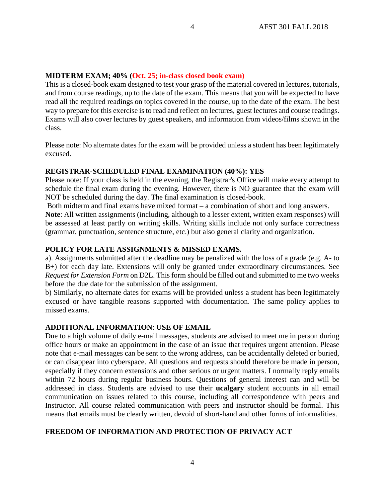## **MIDTERM EXAM; 40% (Oct. 25; in-class closed book exam)**

This is a closed-book exam designed to test your grasp of the material covered in lectures, tutorials, and from course readings, up to the date of the exam. This means that you will be expected to have read all the required readings on topics covered in the course, up to the date of the exam. The best way to prepare for this exercise is to read and reflect on lectures, guest lectures and course readings. Exams will also cover lectures by guest speakers, and information from videos/films shown in the class.

4

Please note: No alternate dates for the exam will be provided unless a student has been legitimately excused.

## **REGISTRAR-SCHEDULED FINAL EXAMINATION (40%): YES**

Please note: If your class is held in the evening, the Registrar's Office will make every attempt to schedule the final exam during the evening. However, there is NO guarantee that the exam will NOT be scheduled during the day. The final examination is closed-book.

Both midterm and final exams have mixed format – a combination of short and long answers.

**Note**: All written assignments (including, although to a lesser extent, written exam responses) will be assessed at least partly on writing skills. Writing skills include not only surface correctness (grammar, punctuation, sentence structure, etc.) but also general clarity and organization.

### **POLICY FOR LATE ASSIGNMENTS & MISSED EXAMS.**

a). Assignments submitted after the deadline may be penalized with the loss of a grade (e.g. A- to B+) for each day late. Extensions will only be granted under extraordinary circumstances. See *Request for Extension Form* on D2L. This form should be filled out and submitted to me two weeks before the due date for the submission of the assignment.

b) Similarly, no alternate dates for exams will be provided unless a student has been legitimately excused or have tangible reasons supported with documentation. The same policy applies to missed exams.

### **ADDITIONAL INFORMATION**: **USE OF EMAIL**

Due to a high volume of daily e-mail messages, students are advised to meet me in person during office hours or make an appointment in the case of an issue that requires urgent attention. Please note that e-mail messages can be sent to the wrong address, can be accidentally deleted or buried, or can disappear into cyberspace. All questions and requests should therefore be made in person, especially if they concern extensions and other serious or urgent matters. I normally reply emails within 72 hours during regular business hours. Questions of general interest can and will be addressed in class. Students are advised to use their **ucalgary** student accounts in all email communication on issues related to this course, including all correspondence with peers and Instructor. All course related communication with peers and instructor should be formal. This means that emails must be clearly written, devoid of short-hand and other forms of informalities.

# **FREEDOM OF INFORMATION AND PROTECTION OF PRIVACY ACT**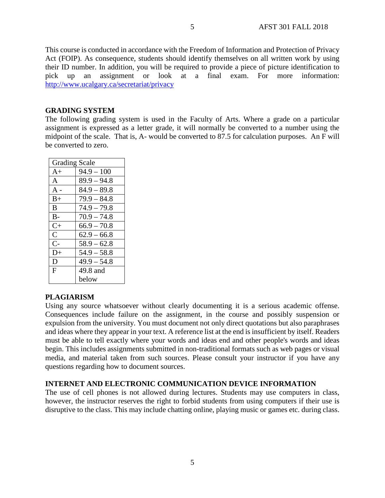This course is conducted in accordance with the Freedom of Information and Protection of Privacy Act (FOIP). As consequence, students should identify themselves on all written work by using their ID number. In addition, you will be required to provide a piece of picture identification to pick up an assignment or look at a final exam. For more information: <http://www.ucalgary.ca/secretariat/privacy>

## **GRADING SYSTEM**

The following grading system is used in the Faculty of Arts. Where a grade on a particular assignment is expressed as a letter grade, it will normally be converted to a number using the midpoint of the scale. That is, A- would be converted to 87.5 for calculation purposes. An F will be converted to zero.

| <b>Grading Scale</b> |               |  |
|----------------------|---------------|--|
| $A+$                 | $94.9 - 100$  |  |
| $\mathsf{A}$         | $89.9 - 94.8$ |  |
| $A -$                | $84.9 - 89.8$ |  |
| $B+$                 | $79.9 - 84.8$ |  |
| B.                   | $74.9 - 79.8$ |  |
| $B-$                 | $70.9 - 74.8$ |  |
| $C+$                 | $66.9 - 70.8$ |  |
| $\mathcal{C}$        | $62.9 - 66.8$ |  |
| $C-$                 | $58.9 - 62.8$ |  |
| $D+$                 | $54.9 - 58.8$ |  |
| D                    | $49.9 - 54.8$ |  |
| F                    | 49.8 and      |  |
|                      | below         |  |

### **PLAGIARISM**

Using any source whatsoever without clearly documenting it is a serious academic offense. Consequences include failure on the assignment, in the course and possibly suspension or expulsion from the university. You must document not only direct quotations but also paraphrases and ideas where they appear in your text. A reference list at the end is insufficient by itself. Readers must be able to tell exactly where your words and ideas end and other people's words and ideas begin. This includes assignments submitted in non-traditional formats such as web pages or visual media, and material taken from such sources. Please consult your instructor if you have any questions regarding how to document sources.

### **INTERNET AND ELECTRONIC COMMUNICATION DEVICE INFORMATION**

The use of cell phones is not allowed during lectures. Students may use computers in class, however, the instructor reserves the right to forbid students from using computers if their use is disruptive to the class. This may include chatting online, playing music or games etc. during class.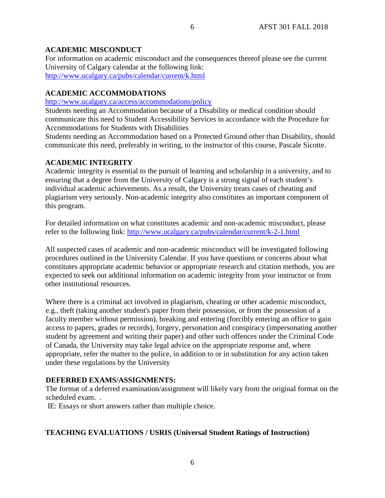## **ACADEMIC MISCONDUCT**

For information on academic misconduct and the consequences thereof please see the current University of Calgary calendar at the following link: <http://www.ucalgary.ca/pubs/calendar/current/k.html>

## **ACADEMIC ACCOMMODATIONS**

<http://www.ucalgary.ca/access/accommodations/policy>

Students needing an Accommodation because of a Disability or medical condition should communicate this need to Student Accessibility Services in accordance with the Procedure for Accommodations for Students with Disabilities

Students needing an Accommodation based on a Protected Ground other than Disability, should communicate this need, preferably in writing, to the instructor of this course, Pascale Sicotte.

# **ACADEMIC INTEGRITY**

Academic integrity is essential to the pursuit of learning and scholarship in a university, and to ensuring that a degree from the University of Calgary is a strong signal of each student's individual academic achievements. As a result, the University treats cases of cheating and plagiarism very seriously. Non-academic integrity also constitutes an important component of this program.

For detailed information on what constitutes academic and non-academic misconduct, please refer to the following link:<http://www.ucalgary.ca/pubs/calendar/current/k-2-1.html>

All suspected cases of academic and non-academic misconduct will be investigated following procedures outlined in the University Calendar. If you have questions or concerns about what constitutes appropriate academic behavior or appropriate research and citation methods, you are expected to seek out additional information on academic integrity from your instructor or from other institutional resources.

Where there is a criminal act involved in plagiarism, cheating or other academic misconduct, e.g., theft (taking another student's paper from their possession, or from the possession of a faculty member without permission), breaking and entering (forcibly entering an office to gain access to papers, grades or records), forgery, personation and conspiracy (impersonating another student by agreement and writing their paper) and other such offences under the Criminal Code of Canada, the University may take legal advice on the appropriate response and, where appropriate, refer the matter to the police, in addition to or in substitution for any action taken under these regulations by the University

### **DEFERRED EXAMS/ASSIGNMENTS:**

The format of a deferred examination/assignment will likely vary from the original format on the scheduled exam. .

6

IE: Essays or short answers rather than multiple choice.

### **TEACHING EVALUATIONS / USRIS (Universal Student Ratings of Instruction)**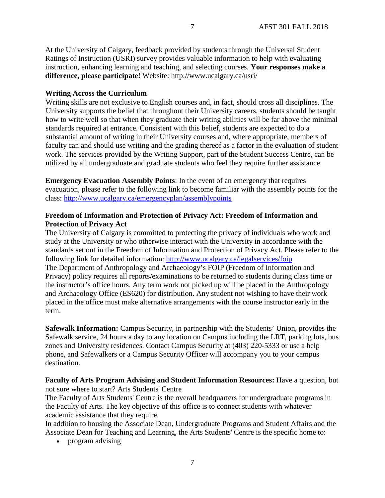At the University of Calgary, feedback provided by students through the Universal Student Ratings of Instruction (USRI) survey provides valuable information to help with evaluating instruction, enhancing learning and teaching, and selecting courses. **Your responses make a difference, please participate!** Website: http://www.ucalgary.ca/usri/

### **Writing Across the Curriculum**

Writing skills are not exclusive to English courses and, in fact, should cross all disciplines. The University supports the belief that throughout their University careers, students should be taught how to write well so that when they graduate their writing abilities will be far above the minimal standards required at entrance. Consistent with this belief, students are expected to do a substantial amount of writing in their University courses and, where appropriate, members of faculty can and should use writing and the grading thereof as a factor in the evaluation of student work. The services provided by the Writing Support, part of the Student Success Centre, can be utilized by all undergraduate and graduate students who feel they require further assistance

**Emergency Evacuation Assembly Points**: In the event of an emergency that requires evacuation, please refer to the following link to become familiar with the assembly points for the class:<http://www.ucalgary.ca/emergencyplan/assemblypoints>

### **Freedom of Information and Protection of Privacy Act: Freedom of Information and Protection of Privacy Act**

The University of Calgary is committed to protecting the privacy of individuals who work and study at the University or who otherwise interact with the University in accordance with the standards set out in the Freedom of Information and Protection of Privacy Act. Please refer to the following link for detailed information:<http://www.ucalgary.ca/legalservices/foip> The Department of Anthropology and Archaeology's FOIP (Freedom of Information and Privacy) policy requires all reports/examinations to be returned to students during class time or the instructor's office hours. Any term work not picked up will be placed in the Anthropology and Archaeology Office (ES620) for distribution. Any student not wishing to have their work placed in the office must make alternative arrangements with the course instructor early in the term.

**Safewalk Information:** Campus Security, in partnership with the Students' Union, provides the Safewalk service, 24 hours a day to any location on Campus including the LRT, parking lots, bus zones and University residences. Contact Campus Security at (403) 220-5333 or use a help phone, and Safewalkers or a Campus Security Officer will accompany you to your campus destination.

**Faculty of Arts Program Advising and Student Information Resources:** Have a question, but not sure where to start? Arts Students' Centre

The Faculty of Arts Students' Centre is the overall headquarters for undergraduate programs in the Faculty of Arts. The key objective of this office is to connect students with whatever academic assistance that they require.

In addition to housing the Associate Dean, Undergraduate Programs and Student Affairs and the Associate Dean for Teaching and Learning, the Arts Students' Centre is the specific home to:

• program advising

7